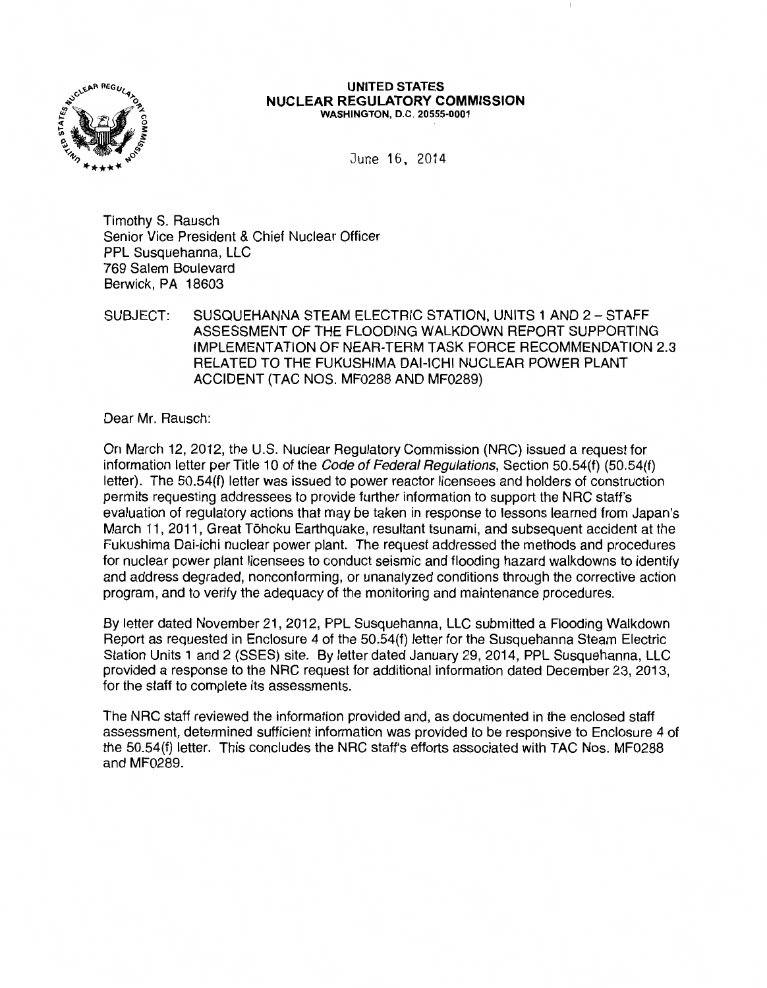

#### UNITED STATES NUCLEAR REGULATORY COMMISSION WASHINGTON, D.C. 20555-0001

June 16, 2014

Timothy S. Rausch Senior Vice President & Chief Nuclear Officer PPL Susquehanna, LLC 769 Salem Boulevard Berwick, PA 18603

SUBJECT: SUSQUEHANNA STEAM ELECTRIC STATION, UNITS 1 AND 2- STAFF ASSESSMENT OF THE FLOODING WALKDOWN REPORT SUPPORTING IMPLEMENTATION OF NEAR-TERM TASK FORCE RECOMMENDATION 2.3 RELATED TO THE FUKUSHIMA DAI-ICHI NUCLEAR POWER PLANT ACCIDENT (TAC NOS. MF0288 AND MF0289)

Dear Mr. Rausch:

On March 12, 2012, the U.S. Nuclear Regulatory Commission (NRC) issued a request for information letter per Title 10 of the *Code of Federal Regulations*, Section 50.54(f) (50.54(f) letter). The 50.54(f) letter was issued to power reactor licensees and holders of construction permits requesting addressees to provide further information to support the NRC staff's evaluation of regulatory actions that may be taken in response to lessons learned from Japan's March 11, 2011, Great Tohoku Earthquake, resultant tsunami, and subsequent accident at the Fukushima Dai-ichi nuclear power plant. The request addressed the methods and procedures for nuclear power plant licensees to conduct seismic and flooding hazard walkdowns to identify and address degraded, nonconforming, or unanalyzed conditions through the corrective action program, and to verify the adequacy of the monitoring and maintenance procedures.

By letter dated November 21, 2012, PPL Susquehanna, LLC submitted a Flooding Walkdown Report as requested in Enclosure 4 of the 50.54(f) letter for the Susquehanna Steam Electric Station Units 1 and 2 (SSES) site. By letter dated January 29, 2014, PPL Susquehanna, LLC provided a response to the NRC request for additional information dated December 23, 2013, for the staff to complete its assessments.

The NRC staff reviewed the information provided and, as documented in the enclosed staff assessment, determined sufficient information was provided to be responsive to Enclosure 4 of the 50.54(f) letter. This concludes the NRC staff's efforts associated with TAC Nos. MF0288 and MF0289.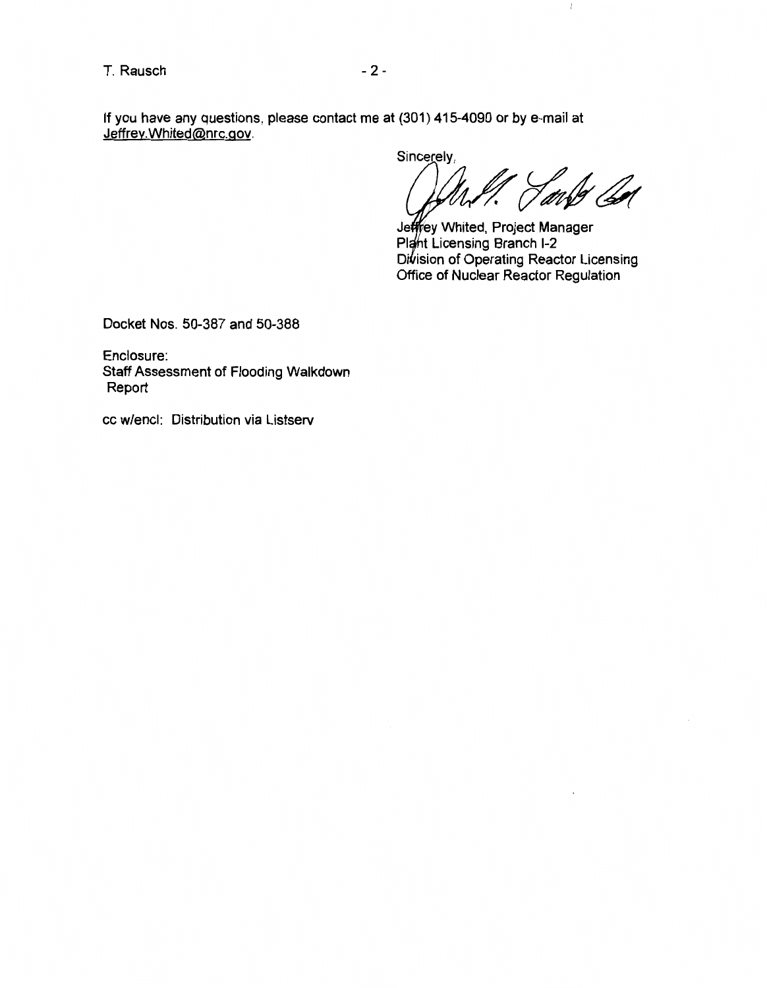If you have any questions, please contact me at (301) 415-4090 or by e-mail at Jeffrey.Whited@nrc.gov.

Sincerely, (bel 7 avr

 $\mathbb{L}$ 

ey Whited, Project Manager t Licensing Branch 1-2 Division of Operating Reactor Licensing Office of Nuclear Reactor Regulation

Docket Nos. 50-387 and 50-388

Enclosure: Staff Assessment of Flooding Walkdown Report

cc w/encl: Distribution via Listserv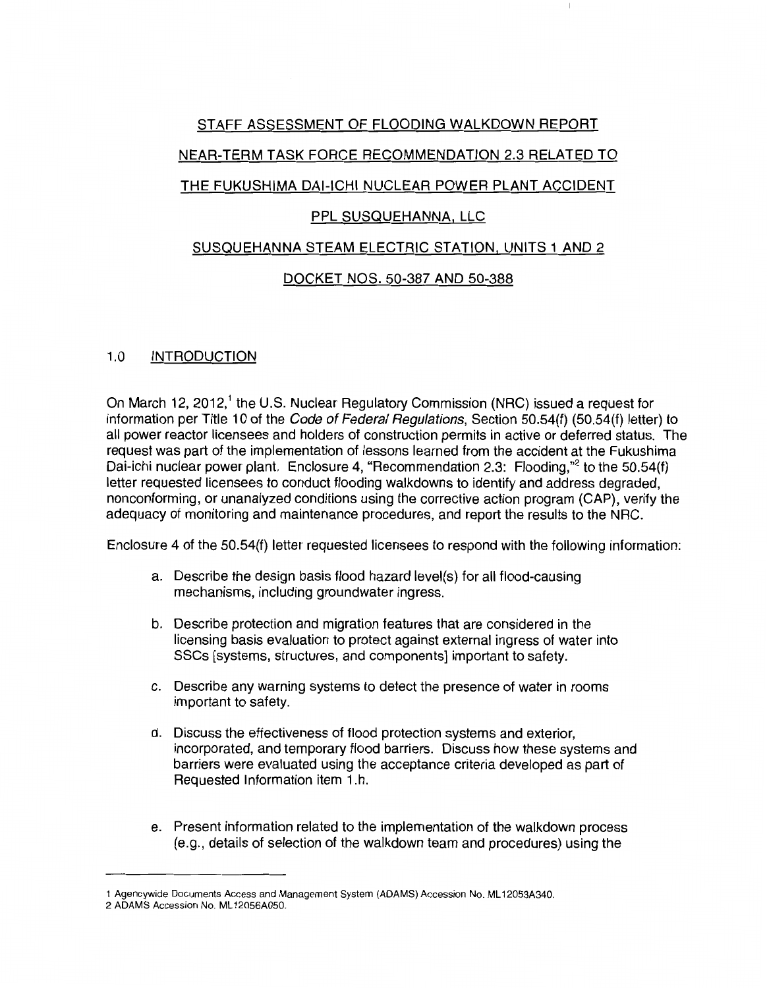# STAFF ASSESSMENT OF FLOODING WALKDOWN REPORT NEAR-TERM TASK FORCE RECOMMENDATION 2.3 RELATED TO THE FUKUSHIMA DAI-ICHI NUCLEAR POWER PLANT ACCIDENT

# PPL SUSQUEHANNA, LLC

# SUSQUEHANNA STEAM ELECTRIC STATION, UNITS 1 AND 2

# DOCKET NOS. 50-387 AND 50-388

# 1.0 INTRODUCTION

On March 12, 2012,<sup>1</sup> the U.S. Nuclear Regulatory Commission (NRC) issued a request for information per Title 10 of the Code of Federal Regulations, Section 50.54(f) (50.54(f) letter) to all power reactor licensees and holders of construction permits in active or deferred status. The request was part of the implementation of lessons learned from the accident at the Fukushima Dai-ichi nuclear power plant. Enclosure 4, "Recommendation 2.3: Flooding,"<sup>2</sup> to the 50.54(f) letter requested licensees to conduct flooding walkdowns to identify and address degraded, nonconforming, or unanalyzed conditions using the corrective action program (CAP), verify the adequacy of monitoring and maintenance procedures, and report the results to the NRC.

Enclosure 4 of the 50.54(f) letter requested licensees to respond with the following information:

- a. Describe the design basis flood hazard level(s) for all flood-causing mechanisms, including groundwater ingress.
- b. Describe protection and migration features that are considered in the licensing basis evaluation to protect against external ingress of water into SSCs [systems, structures, and components] important to safety.
- c. Describe any warning systems to detect the presence of water in rooms important to safety.
- d. Discuss the effectiveness of flood protection systems and exterior, incorporated, and temporary flood barriers. Discuss how these systems and barriers were evaluated using the acceptance criteria developed as part of Requested Information item 1.h.
- e. Present information related to the implementation of the walkdown process (e.g., details of selection of the walkdown team and procedures) using the

<sup>1</sup> Agencywide Documents Access and Management System (ADAMS) Accession No. ML 12053A340.

<sup>2</sup> ADAMS Accession No. ML 12056A050.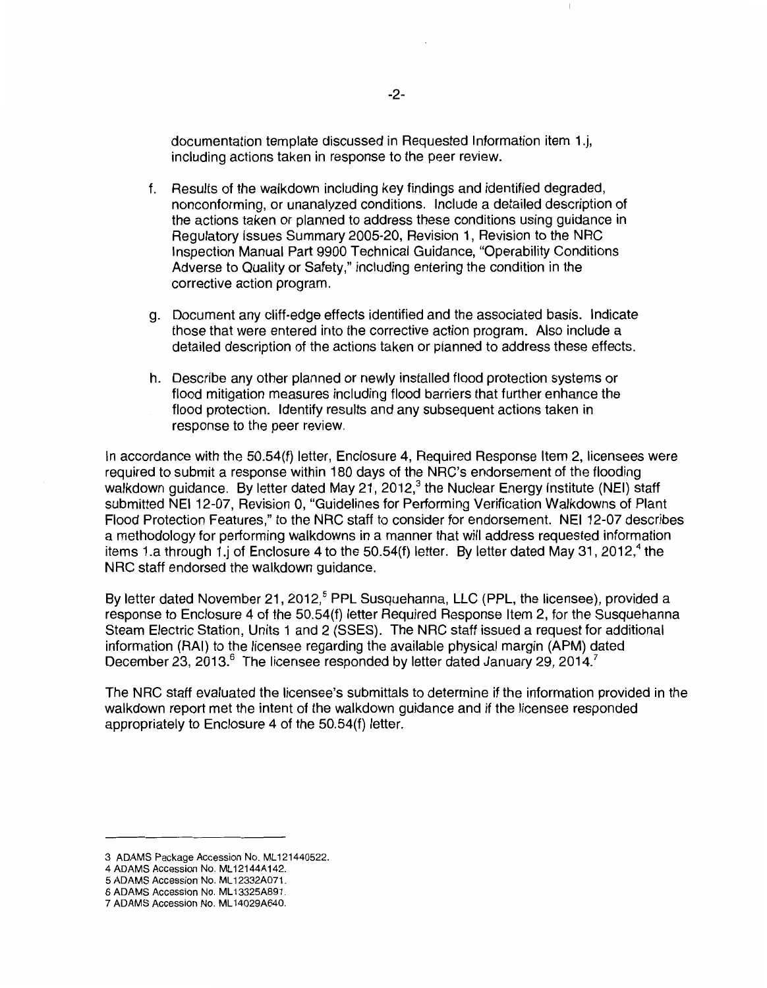documentation template discussed in Requested Information item 1.j, including actions taken in response to the peer review.

- f. Results of the walkdown including key findings and identified degraded, nonconforming, or unanalyzed conditions. Include a detailed description of the actions taken or planned to address these conditions using guidance in Regulatory Issues Summary 2005-20, Revision 1, Revision to the NRC Inspection Manual Part 9900 Technical Guidance, "Operability Conditions Adverse to Quality or Safety," including entering the condition in the corrective action program.
- g. Document any cliff-edge effects identified and the associated basis. Indicate those that were entered into the corrective action program. Also include a detailed description of the actions taken or planned to address these effects.
- h. Describe any other planned or newly installed flood protection systems or flood mitigation measures including flood barriers that further enhance the flood protection. Identify results and any subsequent actions taken in response to the peer review.

In accordance with the 50.54(f) letter, Enclosure 4, Required Response Item 2, licensees were required to submit a response within 180 days of the NRC's endorsement of the flooding walkdown guidance. By letter dated May 21, 2012, $3$  the Nuclear Energy Institute (NEI) staff submitted NEI 12-07, Revision 0, "Guidelines for Performing Verification Walkdowns of Plant Flood Protection Features," to the NRC staff to consider for endorsement. NEI 12-07 describes a methodology for performing walkdowns in a manner that will address requested information items 1.a through 1.j of Enclosure 4 to the 50.54(f) letter. By letter dated May 31, 2012,<sup>4</sup> the NRC staff endorsed the walkdown guidance.

By letter dated November 21, 2012,<sup>5</sup> PPL Susquehanna, LLC (PPL, the licensee), provided a response to Enclosure 4 of the 50.54(f) letter Required Response Item 2, for the Susquehanna Steam Electric Station, Units 1 and 2 (SSES). The NRC staff issued a request for additional information (RAI) to the licensee regarding the available physical margin (APM) dated December 23, 2013.<sup>6</sup> The licensee responded by letter dated January 29, 2014.<sup>7</sup>

The NRC staff evaluated the licensee's submittals to determine if the information provided in the walkdown report met the intent of the walkdown guidance and if the licensee responded appropriately to Enclosure 4 of the 50.54(f) letter.

<sup>3</sup> ADAMS Package Accession No. ML 121440522.

<sup>4</sup> ADAMS Accession No. ML 12144A142.

<sup>5</sup> ADAMS Accession No. ML 12332A071.

<sup>6</sup> ADAMS Accession No. ML 13325A891.

<sup>7</sup> ADAMS Accession No. ML 14029A640.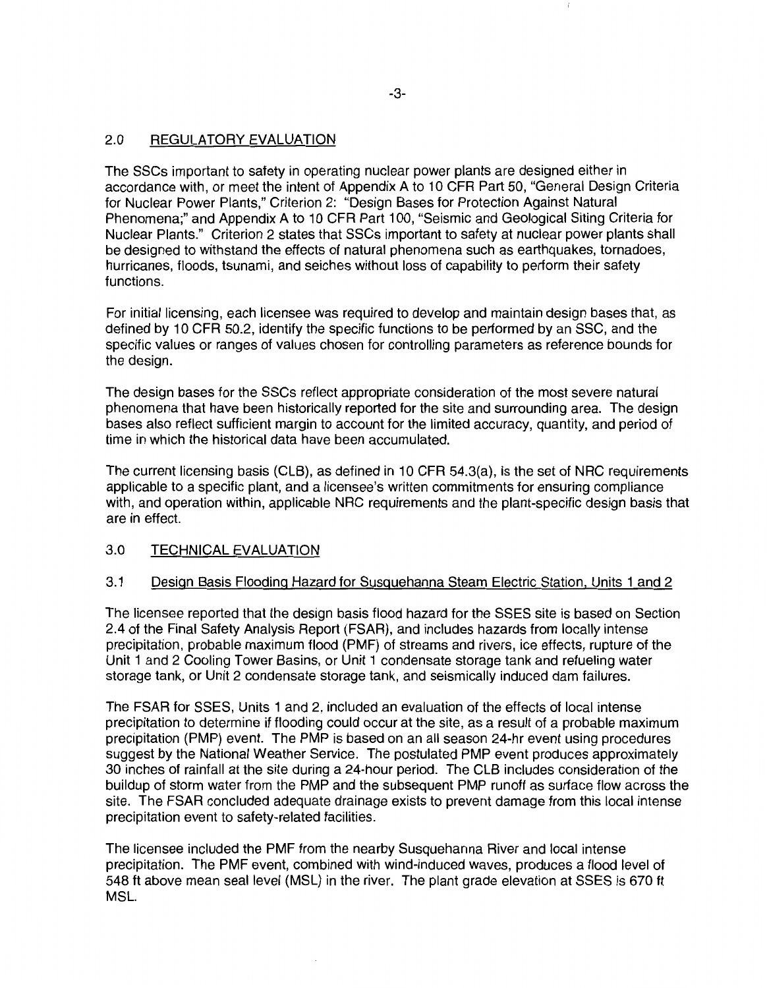# 2.0 REGULATORY EVALUATION

The SSCs important to safety in operating nuclear power plants are designed either in accordance with, or meet the intent of Appendix A to 10 CFR Part 50, "General Design Criteria for Nuclear Power Plants," Criterion 2: "Design Bases for Protection Against Natural Phenomena;" and Appendix A to 10 CFR Part 100, "Seismic and Geological Siting Criteria for Nuclear Plants." Criterion 2 states that SSCs important to safety at nuclear power plants shall be designed to withstand the effects of natural phenomena such as earthquakes, tornadoes, hurricanes, floods, tsunami, and seiches without loss of capability to perform their safety functions.

For initial licensing, each licensee was required to develop and maintain design bases that, as defined by 10 CFR 50.2, identify the specific functions to be performed by an SSC, and the specific values or ranges of values chosen for controlling parameters as reference bounds for the design.

The design bases for the SSCs reflect appropriate consideration of the most severe natural phenomena that have been historically reported for the site and surrounding area. The design bases also reflect sufficient margin to account for the limited accuracy, quantity, and period of time in which the historical data have been accumulated.

The current licensing basis (CLB), as defined in 10 CFR 54.3(a), is the set of NRC requirements applicable to a specific plant, and a licensee's written commitments for ensuring compliance with, and operation within, applicable NRC requirements and the plant-specific design basis that are in effect.

# 3.0 TECHNICAL EVALUATION

# 3.1 Design Basis Flooding Hazard for Susquehanna Steam Electric Station, Units 1 and 2

The licensee reported that the design basis flood hazard for the SSES site is based on Section 2.4 of the Final Safety Analysis Report (FSAR), and includes hazards from locally intense precipitation, probable maximum flood (PMF) of streams and rivers, ice effects, rupture of the Unit 1 and 2 Cooling Tower Basins, or Unit 1 condensate storage tank and refueling water storage tank, or Unit 2 condensate storage tank, and seismically induced dam failures.

The FSAR for SSES, Units 1 and 2, included an evaluation of the effects of local intense precipitation to determine if flooding could occur at the site, as a result of a probable maximum precipitation (PMP) event. The PMP is based on an all season 24-hr event using procedures suggest by the National Weather Service. The postulated PMP event produces approximately 30 inches of rainfall at the site during a 24-hour period. The CLB includes consideration of the buildup of storm water from the PMP and the subsequent PMP runoff as surface flow across the site. The FSAR concluded adequate drainage exists to prevent damage from this local intense precipitation event to safety-related facilities.

The licensee included the PMF from the nearby Susquehanna River and local intense precipitation. The PMF event, combined with wind-induced waves, produces a flood level of 548ft above mean seal level (MSL) in the river. The plant grade elevation at SSES is 670ft MSL.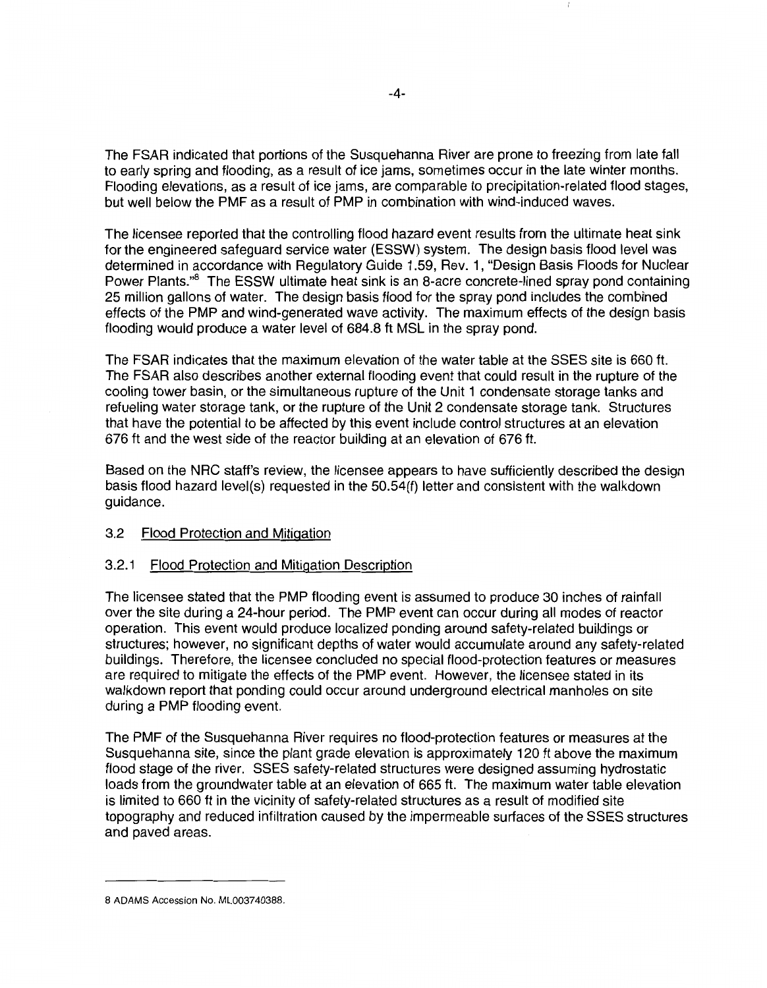The FSAR indicated that portions of the Susquehanna River are prone to freezing from late fall to early spring and flooding, as a result of ice jams, sometimes occur in the late winter months. Flooding elevations, as a result of ice jams, are comparable to precipitation-related flood stages, but well below the PMF as a result of PMP in combination with wind-induced waves.

The licensee reported that the controlling flood hazard event results from the ultimate heat sink for the engineered safeguard service water (ESSW) system. The design basis flood level was determined in accordance with Regulatory Guide 1.59, Rev. 1, "Design Basis Floods for Nuclear Power Plants."<sup>8</sup> The ESSW ultimate heat sink is an 8-acre concrete-lined spray pond containing 25 million gallons of water. The design basis flood for the spray pond includes the combined effects of the PMP and wind-generated wave activity. The maximum effects of the design basis flooding would produce a water level of 684.8 ft MSL in the spray pond.

The FSAR indicates that the maximum elevation of the water table at the SSES site is 660 ft. The FSAR also describes another external flooding event that could result in the rupture of the cooling tower basin, or the simultaneous rupture of the Unit 1 condensate storage tanks and refueling water storage tank, or the rupture of the Unit 2 condensate storage tank. Structures that have the potential to be affected by this event include control structures at an elevation 676 ft and the west side of the reactor building at an elevation of 676 ft.

Based on the NRC staff's review, the licensee appears to have sufficiently described the design basis flood hazard level(s) requested in the 50.54(f) letter and consistent with the walkdown guidance.

# 3.2 Flood Protection and Mitigation

# 3.2.1 Flood Protection and Mitigation Description

The licensee stated that the PMP flooding event is assumed to produce 30 inches of rainfall over the site during a 24-hour period. The PMP event can occur during all modes of reactor operation. This event would produce localized pending around safety-related buildings or structures; however, no significant depths of water would accumulate around any safety-related buildings. Therefore, the licensee concluded no special flood-protection features or measures are required to mitigate the effects of the PMP event. However, the licensee stated in its walkdown report that ponding could occur around underground electrical manholes on site during a PMP flooding event.

The PMF of the Susquehanna River requires no flood-protection features or measures at the Susquehanna site, since the plant grade elevation is approximately 120 ft above the maximum flood stage of the river. SSES safety-related structures were designed assuming hydrostatic loads from the groundwater table at an elevation of 665 ft. The maximum water table elevation is limited to 660 ft in the vicinity of safety-related structures as a result of modified site topography and reduced infiltration caused by the impermeable surfaces of the SSES structures and paved areas.

<sup>8</sup> ADAMS Accession No. ML003740388.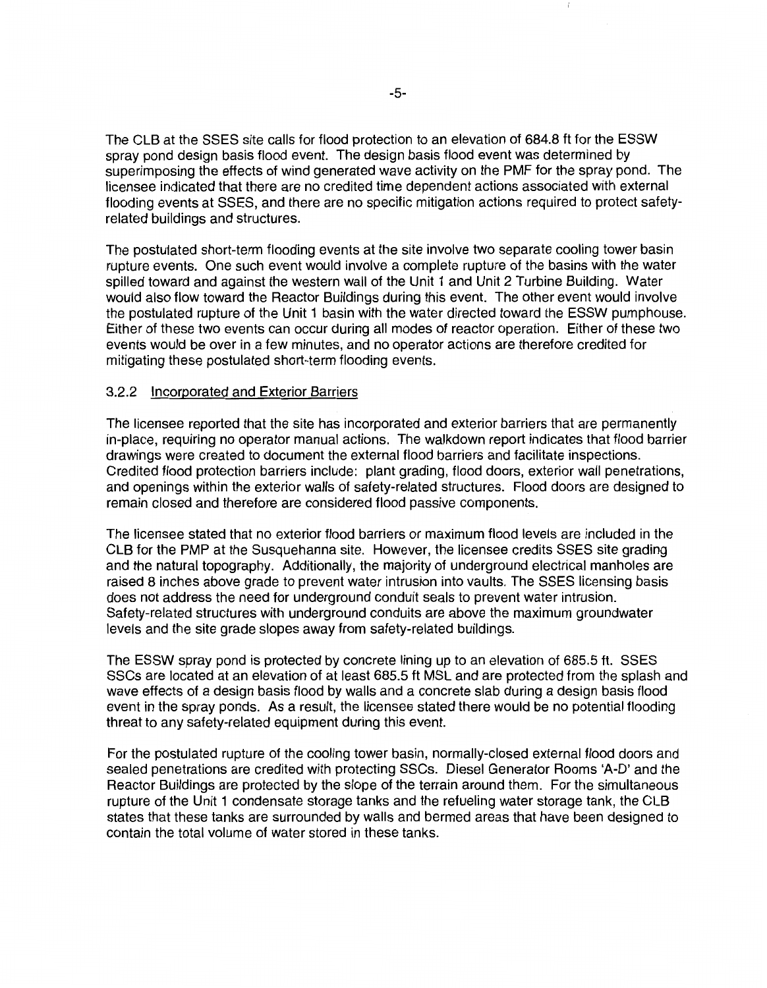The CLB at the SSES site calls for flood protection to an elevation of 684.8 ft for the ESSW spray pond design basis flood event. The design basis flood event was determined by superimposing the effects of wind generated wave activity on the PMF for the spray pond. The licensee indicated that there are no credited time dependent actions associated with external flooding events at SSES, and there are no specific mitigation actions required to protect safetyrelated buildings and structures.

The postulated short-term flooding events at the site involve two separate cooling tower basin rupture events. One such event would involve a complete rupture of the basins with the water spilled toward and against the western wall of the Unit 1 and Unit 2 Turbine Building. Water would also flow toward the Reactor Buildings during this event. The other event would involve the postulated rupture of the Unit 1 basin with the water directed toward the ESSW pumphouse. Either of these two events can occur during all modes of reactor operation. Either of these two events would be over in a few minutes, and no operator actions are therefore credited for mitigating these postulated short-term flooding events.

# 3.2.2 Incorporated and Exterior Barriers

The licensee reported that the site has incorporated and exterior barriers that are permanently in-place, requiring no operator manual actions. The walkdown report indicates that flood barrier drawings were created to document the external flood barriers and facilitate inspections. Credited flood protection barriers include: plant grading, flood doors, exterior wall penetrations, and openings within the exterior walls of safety-related structures. Flood doors are designed to remain closed and therefore are considered flood passive components.

The licensee stated that no exterior flood barriers or maximum flood levels are included in the CLB for the PMP at the Susquehanna site. However, the licensee credits SSES site grading and the natural topography. Additionally, the majority of underground electrical manholes are raised 8 inches above grade to prevent water intrusion into vaults. The SSES licensing basis does not address the need for underground conduit seals to prevent water intrusion. Safety-related structures with underground conduits are above the maximum groundwater levels and the site grade slopes away from safety-related buildings.

The ESSW spray pond is protected by concrete lining up to an elevation of 685.5 ft. SSES SSCs are located at an elevation of at least 685.5 ft MSL and are protected from the splash and wave effects of a design basis flood by walls and a concrete slab during a design basis flood event in the spray ponds. As a result, the licensee stated there would be no potential flooding threat to any safety-related equipment during this event.

For the postulated rupture of the cooling tower basin, normally-closed external flood doors and sealed penetrations are credited with protecting SSCs. Diesel Generator Rooms 'A-D' and the Reactor Buildings are protected by the slope of the terrain around them. For the simultaneous rupture of the Unit 1 condensate storage tanks and the refueling water storage tank, the CLB states that these tanks are surrounded by walls and bermed areas that have been designed to contain the total volume of water stored in these tanks.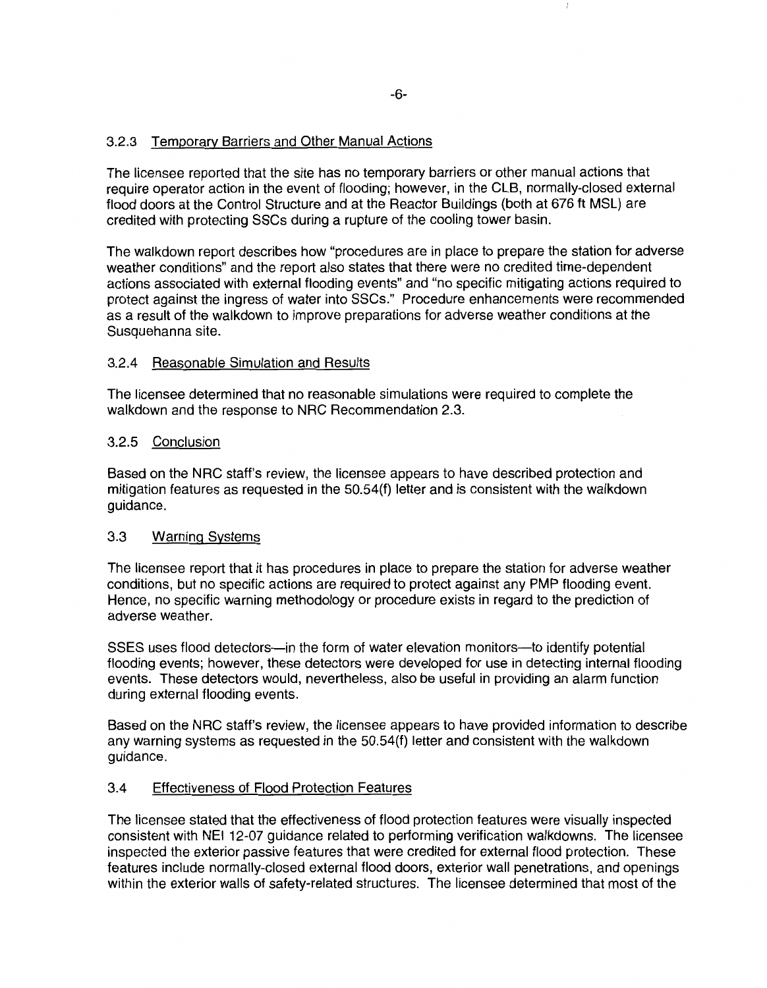# 3.2.3 Temporary Barriers and Other Manual Actions

The licensee reported that the site has no temporary barriers or other manual actions that require operator action in the event of flooding; however, in the CLB, normally-closed external flood doors at the Control Structure and at the Reactor Buildings (both at 676 ft MSL) are credited with protecting SSCs during a rupture of the cooling tower basin.

The walkdown report describes how "procedures are in place to prepare the station for adverse weather conditions" and the report also states that there were no credited time-dependent actions associated with external flooding events" and "no specific mitigating actions required to protect against the ingress of water into SSCs." Procedure enhancements were recommended as a result of the walkdown to improve preparations for adverse weather conditions at the Susquehanna site.

# 3.2.4 Reasonable Simulation and Results

The licensee determined that no reasonable simulations were required to complete the walkdown and the response to NRC Recommendation 2.3.

# 3.2.5 Conclusion

Based on the NRC staff's review, the licensee appears to have described protection and mitigation features as requested in the 50.54{f) letter and is consistent with the walkdown guidance.

# 3.3 Warning Systems

The licensee report that it has procedures in place to prepare the station for adverse weather conditions, but no specific actions are required to protect against any PMP flooding event. Hence, no specific warning methodology or procedure exists in regard to the prediction of adverse weather.

SSES uses flood detectors—in the form of water elevation monitors—to identify potential flooding events; however, these detectors were developed for use in detecting internal flooding events. These detectors would, nevertheless, also be useful in providing an alarm function during external flooding events.

Based on the NRC staff's review, the licensee appears to have provided information to describe any warning systems as requested in the 50.54(f) letter and consistent with the walkdown guidance.

# 3.4 Effectiveness of Flood Protection Features

The licensee stated that the effectiveness of flood protection features were visually inspected consistent with NEI 12-07 guidance related to performing verification walkdowns. The licensee inspected the exterior passive features that were credited for external flood protection. These features include normally-closed external flood doors, exterior wall penetrations, and openings within the exterior walls of safety-related structures. The licensee determined that most of the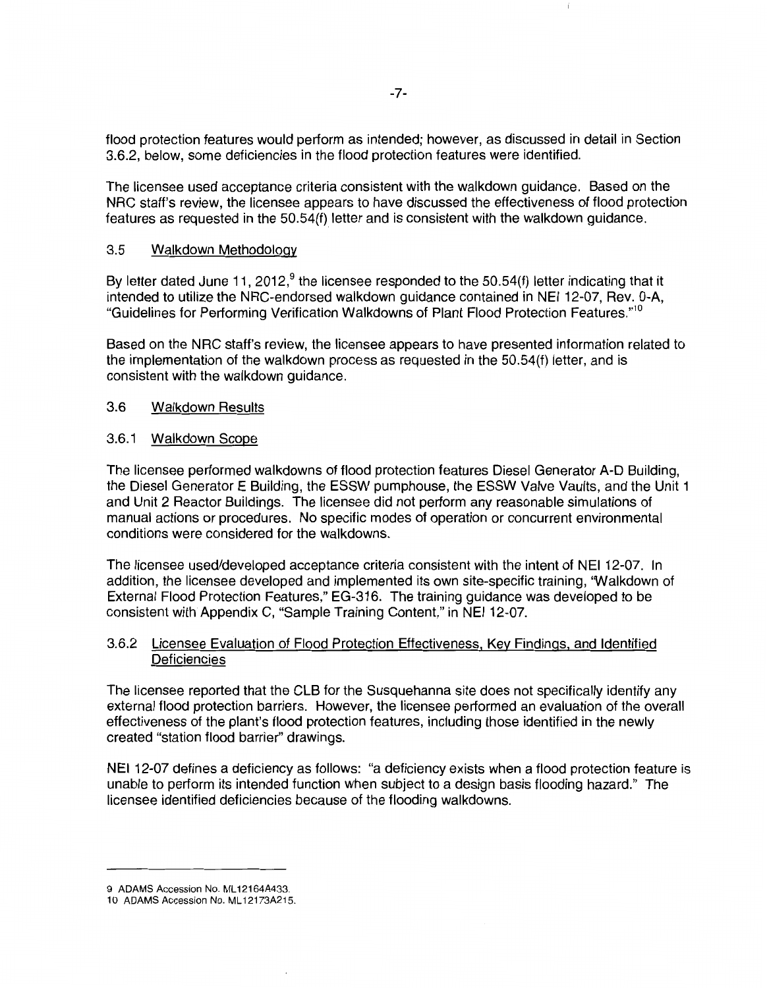flood protection features would perform as intended; however, as discussed in detail in Section 3.6.2, below, some deficiencies in the flood protection features were identified.

The licensee used acceptance criteria consistent with the walkdown guidance. Based on the NRC staff's review, the licensee appears to have discussed the effectiveness of flood protection features as requested in the 50.54{f) letter and is consistent with the walkdown guidance.

#### 3.5 Walkdown Methodology

By letter dated June 11, 2012,<sup>9</sup> the licensee responded to the 50.54(f) letter indicating that it intended to utilize the NRC-endorsed walkdown guidance contained in NEI 12-07, Rev. 0-A, "Guidelines for Performing Verification Walkdowns of Plant Flood Protection Features."<sup>10</sup>

Based on the NRC staff's review, the licensee appears to have presented information related to the implementation of the walkdown process as requested in the 50.54(f) letter, and is consistent with the walkdown guidance.

# 3.6 Walkdown Results

# 3.6.1 Walkdown Scope

The licensee performed walkdowns of flood protection features Diesel Generator A-D Building, the Diesel Generator E Building, the ESSW pumphouse, the ESSW Valve Vaults, and the Unit 1 and Unit 2 Reactor Buildings. The licensee did not perform any reasonable simulations of manual actions or procedures. No specific modes of operation or concurrent environmental conditions were considered for the walkdowns.

The licensee used/developed acceptance criteria consistent with the intent of NEI 12-07. In addition, the licensee developed and implemented its own site-specific training, 'Walkdown of External Flood Protection Features," EG-316. The training guidance was developed to be consistent with Appendix C, "Sample Training Content," in NEI 12-07.

# 3.6.2 Licensee Evaluation of Flood Protection Effectiveness, Key Findings, and Identified **Deficiencies**

The licensee reported that the CLB for the Susquehanna site does not specifically identify any external flood protection barriers. However, the licensee performed an evaluation of the overall effectiveness of the plant's flood protection features, including those identified in the newly created "station flood barrier" drawings.

NEI 12-07 defines a deficiency as follows: "a deficiency exists when a flood protection feature is unable to perform its intended function when subject to a design basis flooding hazard." The licensee identified deficiencies because of the flooding walkdowns.

<sup>9</sup> ADAMS Accession No. ML12164A433.

<sup>10</sup> ADAMS Accession No. ML 12173A215.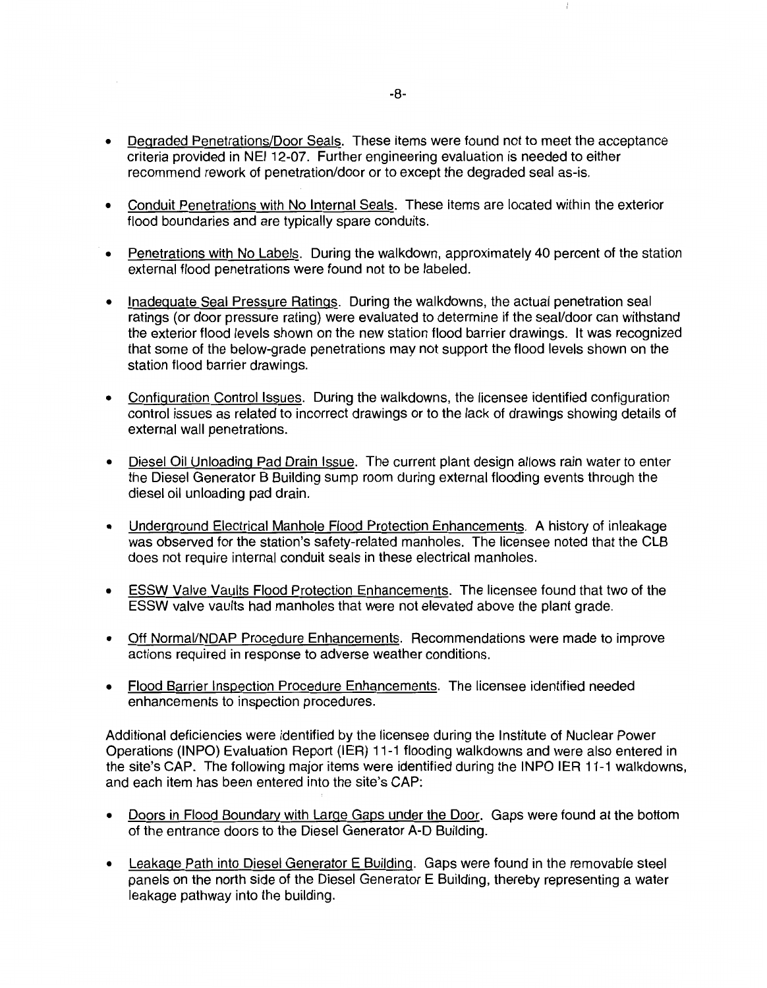- Degraded Penetrations/Door Seals. These items were found not to meet the acceptance criteria provided in NEI 12-07. Further engineering evaluation is needed to either recommend rework of penetration/door or to except the degraded seal as-is.
- Conduit Penetrations with No Internal Seals. These items are located within the exterior flood boundaries and are typically spare conduits.
- Penetrations with No Labels. During the walkdown, approximately 40 percent of the station external flood penetrations were found not to be labeled.
- Inadequate Seal Pressure Ratings. During the walkdowns, the actual penetration seal ratings (or door pressure rating) were evaluated to determine if the seal/door can withstand the exterior flood levels shown on the new station flood barrier drawings. It was recognized that some of the below-grade penetrations may not support the flood levels shown on the station flood barrier drawings.
- Configuration Control Issues. During the walkdowns, the licensee identified configuration control issues as related to incorrect drawings or to the lack of drawings showing details of external wall penetrations.
- Diesel Oil Unloading Pad Drain Issue. The current plant design allows rain water to enter the Diesel Generator B Building sump room during external flooding events through the diesel oil unloading pad drain.
- Underground Electrical Manhole Flood Protection Enhancements. A history of inleakage was observed for the station's safety-related manholes. The licensee noted that the CLB does not require internal conduit seals in these electrical manholes.
- ESSW Valve Vaults Flood Protection Enhancements. The licensee found that two of the ESSW valve vaults had manholes that were not elevated above the plant grade.
- Off Normai/NDAP Procedure Enhancements. Recommendations were made to improve actions required in response to adverse weather conditions.
- Flood Barrier Inspection Procedure Enhancements. The licensee identified needed enhancements to inspection procedures.

Additional deficiencies were identified by the licensee during the Institute of Nuclear Power Operations {INPO) Evaluation Report {IER) 11-1 flooding walkdowns and were also entered in the site's CAP. The following major items were identified during the INPO IER 11-1 walkdowns, and each item has been entered into the site's CAP:

- Doors in Flood Boundary with Large Gaps under the Door. Gaps were found at the bottom of the entrance doors to the Diesel Generator A-D Building.
- Leakage Path into Diesel Generator E Building. Gaps were found in the removable steel panels on the north side of the Diesel Generator E Building, thereby representing a water leakage pathway into the building.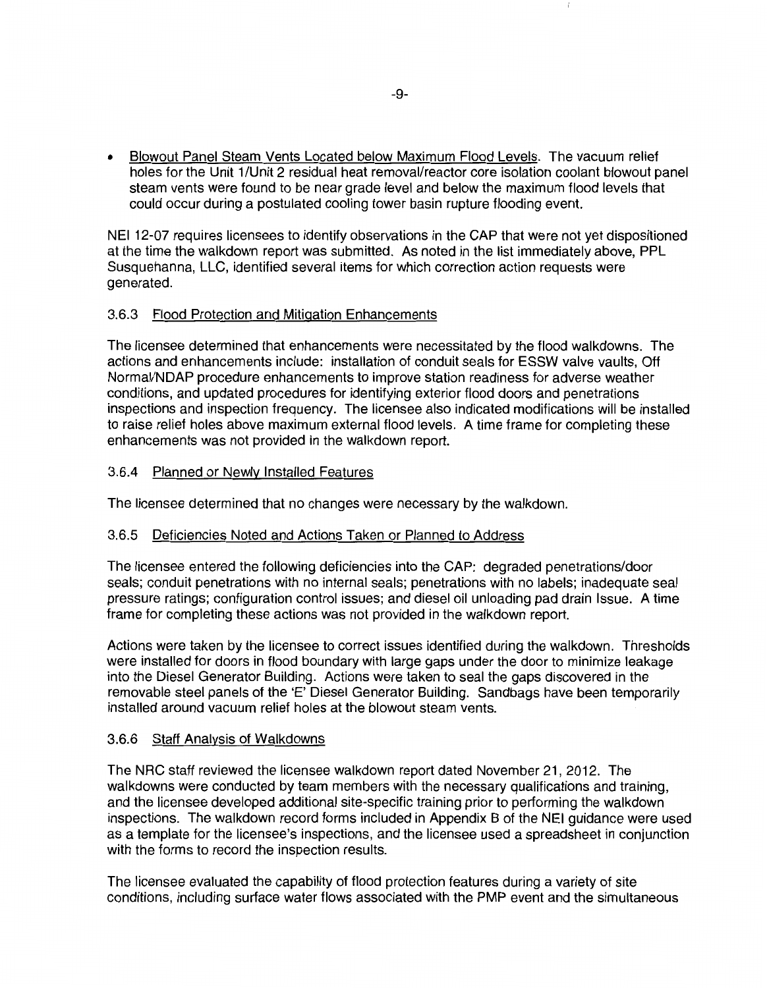• Blowout Panel Steam Vents Located below Maximum Flood Levels. The vacuum relief holes for the Unit 1/Unit 2 residual heat removal/reactor core isolation coolant blowout panel steam vents were found to be near grade level and below the maximum flood levels that could occur during a postulated cooling tower basin rupture flooding event.

NEI 12-07 requires licensees to identify observations in the CAP that were not yet dispositioned at the time the walkdown report was submitted. As noted in the list immediately above, PPL Susquehanna, LLC, identified several items for which correction action requests were generated.

# 3.6.3 Flood Protection and Mitigation Enhancements

The licensee determined that enhancements were necessitated by the flood walkdowns. The actions and enhancements include: installation of conduit seals for ESSW valve vaults, Off Normai/NDAP procedure enhancements to improve station readiness for adverse weather conditions, and updated procedures for identifying exterior flood doors and penetrations inspections and inspection frequency. The licensee also indicated modifications will be installed to raise relief holes above maximum external flood levels. A time frame for completing these enhancements was not provided in the walkdown report.

# 3.6.4 Planned or Newly Installed Features

The licensee determined that no changes were necessary by the walkdown.

# 3.6.5 Deficiencies Noted and Actions Taken or Planned to Address

The licensee entered the following deficiencies into the CAP: degraded penetrations/door seals; conduit penetrations with no internal seals; penetrations with no labels; inadequate seal pressure ratings; configuration control issues; and diesel oil unloading pad drain Issue. A time frame for completing these actions was not provided in the walkdown report.

Actions were taken by the licensee to correct issues identified during the walkdown. Thresholds were installed for doors in flood boundary with large gaps under the door to minimize leakage into the Diesel Generator Building. Actions were taken to seal the gaps discovered in the removable steel panels of the 'E' Diesel Generator Building. Sandbags have been temporarily installed around vacuum relief holes at the blowout steam vents.

# 3.6.6 Staff Analysis of Walkdowns

The NRC staff reviewed the licensee walkdown report dated November 21, 2012. The walkdowns were conducted by team members with the necessary qualifications and training, and the licensee developed additional site-specific training prior to performing the walkdown inspections. The walkdown record forms included in Appendix B of the NEI guidance were used as a template for the licensee's inspections, and the licensee used a spreadsheet in conjunction with the forms to record the inspection results.

The licensee evaluated the capability of flood protection features during a variety of site conditions, including surface water flows associated with the PMP event and the simultaneous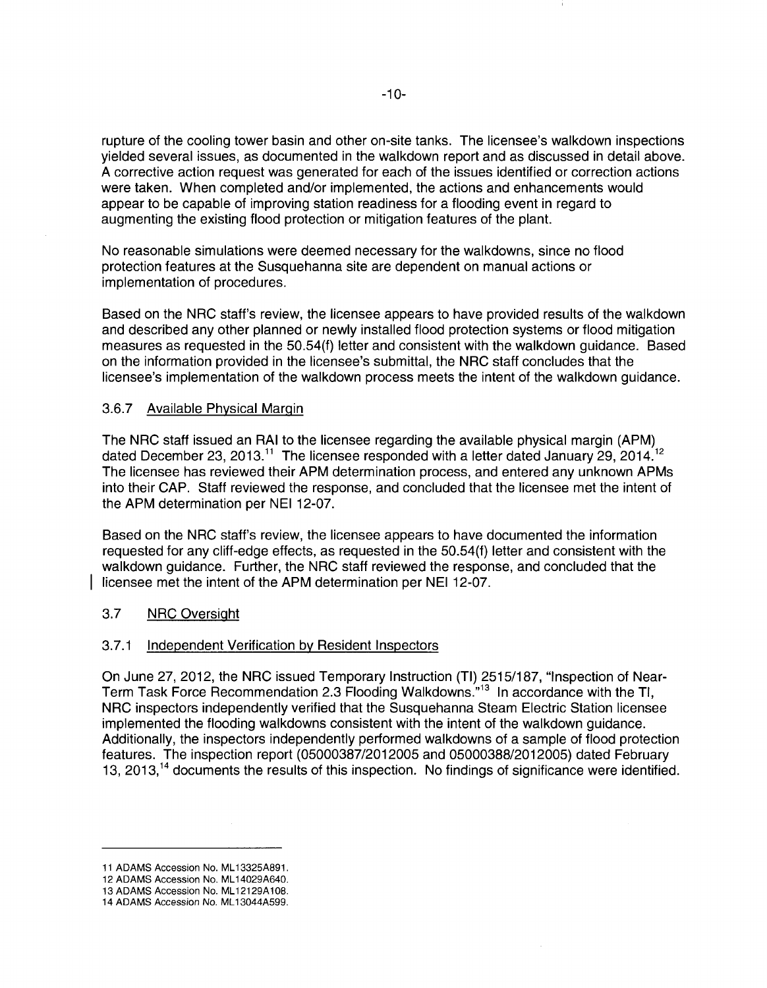rupture of the cooling tower basin and other on-site tanks. The licensee's walkdown inspections yielded several issues, as documented in the walkdown report and as discussed in detail above. A corrective action request was generated for each of the issues identified or correction actions were taken. When completed and/or implemented, the actions and enhancements would appear to be capable of improving station readiness for a flooding event in regard to augmenting the existing flood protection or mitigation features of the plant.

No reasonable simulations were deemed necessary for the walkdowns, since no flood protection features at the Susquehanna site are dependent on manual actions or implementation of procedures.

Based on the NRC staff's review, the licensee appears to have provided results of the walkdown and described any other planned or newly installed flood protection systems or flood mitigation measures as requested in the 50.54(f) letter and consistent with the walkdown guidance. Based on the information provided in the licensee's submittal, the NRC staff concludes that the licensee's implementation of the walkdown process meets the intent of the walkdown guidance.

# 3.6.7 Available Physical Margin

The NRC staff issued an RAI to the licensee regarding the available physical margin (APM) dated December 23, 2013.<sup>11</sup> The licensee responded with a letter dated January 29, 2014.<sup>12</sup> The licensee has reviewed their APM determination process, and entered any unknown APMs into their CAP. Staff reviewed the response, and concluded that the licensee met the intent of the APM determination per NEI 12-07.

Based on the NRC staff's review, the licensee appears to have documented the information requested for any cliff-edge effects, as requested in the 50.54(f) letter and consistent with the walkdown guidance. Further, the NRC staff reviewed the response, and concluded that the licensee met the intent of the APM determination per NEI 12-07.

# 3.7 NRC Oversight

# 3.7.1 Independent Verification by Resident Inspectors

On June 27, 2012, the NRC issued Temporary Instruction (TI) 2515/187, "Inspection of Near-Term Task Force Recommendation 2.3 Flooding Walkdowns."<sup>13</sup> In accordance with the Tl, NRC inspectors independently verified that the Susquehanna Steam Electric Station licensee implemented the flooding walkdowns consistent with the intent of the walkdown guidance. Additionally, the inspectors independently performed walkdowns of a sample of flood protection features. The inspection report (05000387/2012005 and 05000388/2012005) dated February 13, 2013,  $14$  documents the results of this inspection. No findings of significance were identified.

<sup>11</sup> ADAMS Accession No. ML 13325A891.

<sup>12</sup> ADAMS Accession No. ML 14029A640.

<sup>13</sup> ADAMS Accession No. ML 12129A 108.

<sup>14</sup> ADAMS Accession No. ML 13044A599.